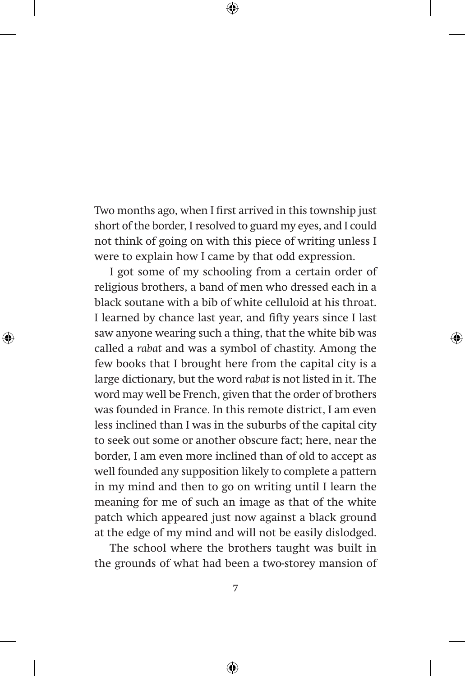Two months ago, when I first arrived in this township just short of the border, I resolved to guard my eyes, and I could not think of going on with this piece of writing unless I were to explain how I came by that odd expression.

⊕

I got some of my schooling from a certain order of religious brothers, a band of men who dressed each in a black soutane with a bib of white celluloid at his throat. I learned by chance last year, and fifty years since I last saw anyone wearing such a thing, that the white bib was called a *rabat* and was a symbol of chastity. Among the few books that I brought here from the capital city is a large dictionary, but the word *rabat* is not listed in it. The word may well be French, given that the order of brothers was founded in France. In this remote district, I am even less inclined than I was in the suburbs of the capital city to seek out some or another obscure fact; here, near the border, I am even more inclined than of old to accept as well founded any supposition likely to complete a pattern in my mind and then to go on writing until I learn the meaning for me of such an image as that of the white patch which appeared just now against a black ground at the edge of my mind and will not be easily dislodged.

⊕

⊕

The school where the brothers taught was built in the grounds of what had been a two-storey mansion of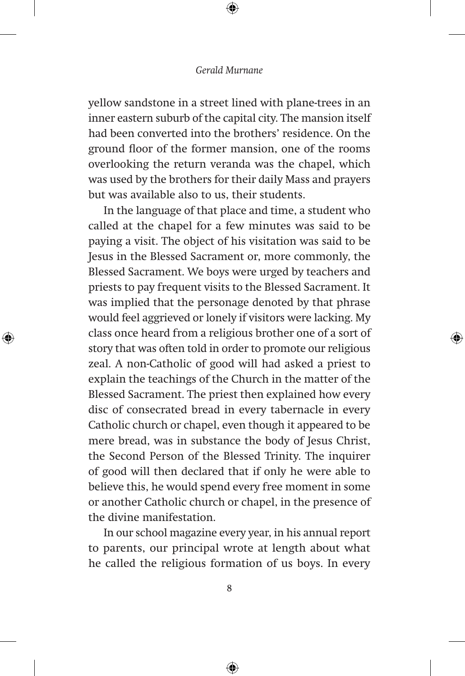yellow sandstone in a street lined with plane-trees in an inner eastern suburb of the capital city. The mansion itself had been converted into the brothers' residence. On the ground floor of the former mansion, one of the rooms overlooking the return veranda was the chapel, which was used by the brothers for their daily Mass and prayers but was available also to us, their students.

In the language of that place and time, a student who called at the chapel for a few minutes was said to be paying a visit. The object of his visitation was said to be Jesus in the Blessed Sacrament or, more commonly, the Blessed Sacrament. We boys were urged by teachers and priests to pay frequent visits to the Blessed Sacrament. It was implied that the personage denoted by that phrase would feel aggrieved or lonely if visitors were lacking. My class once heard from a religious brother one of a sort of story that was often told in order to promote our religious zeal. A non-Catholic of good will had asked a priest to explain the teachings of the Church in the matter of the Blessed Sacrament. The priest then explained how every disc of consecrated bread in every tabernacle in every Catholic church or chapel, even though it appeared to be mere bread, was in substance the body of Jesus Christ, the Second Person of the Blessed Trinity. The inquirer of good will then declared that if only he were able to believe this, he would spend every free moment in some or another Catholic church or chapel, in the presence of the divine manifestation.

↔

In our school magazine every year, in his annual report to parents, our principal wrote at length about what he called the religious formation of us boys. In every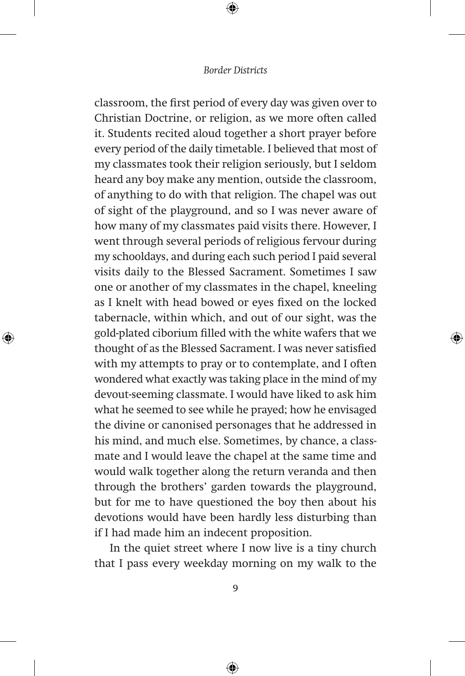⊕

classroom, the first period of every day was given over to Christian Doctrine, or religion, as we more often called it. Students recited aloud together a short prayer before every period of the daily timetable. I believed that most of my classmates took their religion seriously, but I seldom heard any boy make any mention, outside the classroom, of anything to do with that religion. The chapel was out of sight of the playground, and so I was never aware of how many of my classmates paid visits there. However, I went through several periods of religious fervour during my schooldays, and during each such period I paid several visits daily to the Blessed Sacrament. Sometimes I saw one or another of my classmates in the chapel, kneeling as I knelt with head bowed or eyes fixed on the locked tabernacle, within which, and out of our sight, was the gold-plated ciborium filled with the white wafers that we thought of as the Blessed Sacrament. I was never satisfied with my attempts to pray or to contemplate, and I often wondered what exactly was taking place in the mind of my devout-seeming classmate. I would have liked to ask him what he seemed to see while he prayed; how he envisaged the divine or canonised personages that he addressed in his mind, and much else. Sometimes, by chance, a classmate and I would leave the chapel at the same time and would walk together along the return veranda and then through the brothers' garden towards the playground, but for me to have questioned the boy then about his devotions would have been hardly less disturbing than if I had made him an indecent proposition.

⊕

↔

In the quiet street where I now live is a tiny church that I pass every weekday morning on my walk to the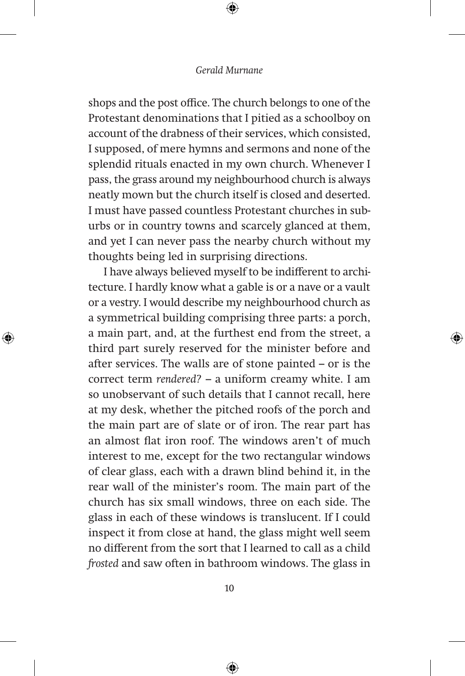shops and the post office. The church belongs to one of the Protestant denominations that I pitied as a schoolboy on account of the drabness of their services, which consisted, I supposed, of mere hymns and sermons and none of the splendid rituals enacted in my own church. Whenever I pass, the grass around my neighbourhood church is always neatly mown but the church itself is closed and deserted. I must have passed countless Protestant churches in suburbs or in country towns and scarcely glanced at them, and yet I can never pass the nearby church without my thoughts being led in surprising directions.

I have always believed myself to be indiferent to architecture. I hardly know what a gable is or a nave or a vault or a vestry. I would describe my neighbourhood church as a symmetrical building comprising three parts: a porch, a main part, and, at the furthest end from the street, a third part surely reserved for the minister before and after services. The walls are of stone painted – or is the correct term *rendered?* – a uniform creamy white. I am so unobservant of such details that I cannot recall, here at my desk, whether the pitched roofs of the porch and the main part are of slate or of iron. The rear part has an almost flat iron roof. The windows aren't of much interest to me, except for the two rectangular windows of clear glass, each with a drawn blind behind it, in the rear wall of the minister's room. The main part of the church has six small windows, three on each side. The glass in each of these windows is translucent. If I could inspect it from close at hand, the glass might well seem no diferent from the sort that I learned to call as a child *frosted* and saw often in bathroom windows. The glass in

⊕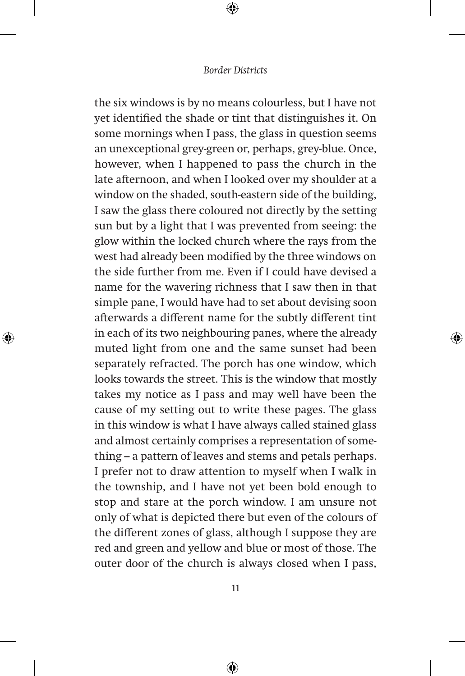⊕

the six windows is by no means colourless, but I have not yet identified the shade or tint that distinguishes it. On some mornings when I pass, the glass in question seems an unexceptional grey-green or, perhaps, grey-blue. Once, however, when I happened to pass the church in the late afternoon, and when I looked over my shoulder at a window on the shaded, south-eastern side of the building, I saw the glass there coloured not directly by the setting sun but by a light that I was prevented from seeing: the glow within the locked church where the rays from the west had already been modified by the three windows on the side further from me. Even if I could have devised a name for the wavering richness that I saw then in that simple pane, I would have had to set about devising soon afterwards a diferent name for the subtly diferent tint in each of its two neighbouring panes, where the already muted light from one and the same sunset had been separately refracted. The porch has one window, which looks towards the street. This is the window that mostly takes my notice as I pass and may well have been the cause of my setting out to write these pages. The glass in this window is what I have always called stained glass and almost certainly comprises a representation of something – a pattern of leaves and stems and petals perhaps. I prefer not to draw attention to myself when I walk in the township, and I have not yet been bold enough to stop and stare at the porch window. I am unsure not only of what is depicted there but even of the colours of the diferent zones of glass, although I suppose they are red and green and yellow and blue or most of those. The outer door of the church is always closed when I pass,

↔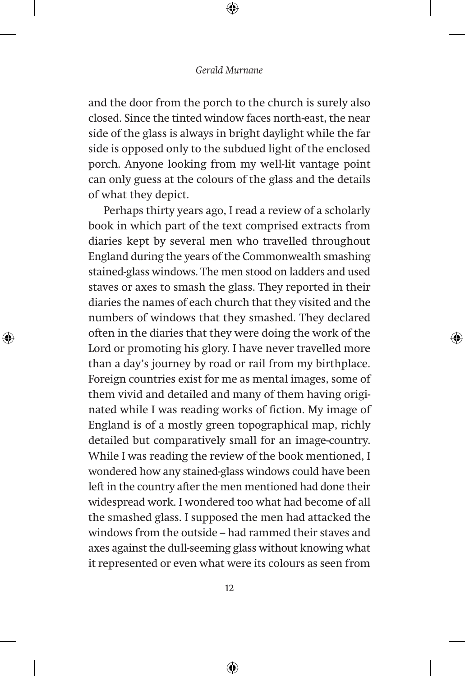⊕

and the door from the porch to the church is surely also closed. Since the tinted window faces north-east, the near side of the glass is always in bright daylight while the far side is opposed only to the subdued light of the enclosed porch. Anyone looking from my well-lit vantage point can only guess at the colours of the glass and the details of what they depict.

Perhaps thirty years ago, I read a review of a scholarly book in which part of the text comprised extracts from diaries kept by several men who travelled throughout England during the years of the Commonwealth smashing stained-glass windows. The men stood on ladders and used staves or axes to smash the glass. They reported in their diaries the names of each church that they visited and the numbers of windows that they smashed. They declared often in the diaries that they were doing the work of the Lord or promoting his glory. I have never travelled more than a day's journey by road or rail from my birthplace. Foreign countries exist for me as mental images, some of them vivid and detailed and many of them having originated while I was reading works of fiction. My image of England is of a mostly green topographical map, richly detailed but comparatively small for an image-country. While I was reading the review of the book mentioned, I wondered how any stained-glass windows could have been left in the country after the men mentioned had done their widespread work. I wondered too what had become of all the smashed glass. I supposed the men had attacked the windows from the outside – had rammed their staves and axes against the dull-seeming glass without knowing what it represented or even what were its colours as seen from

⊕

⊕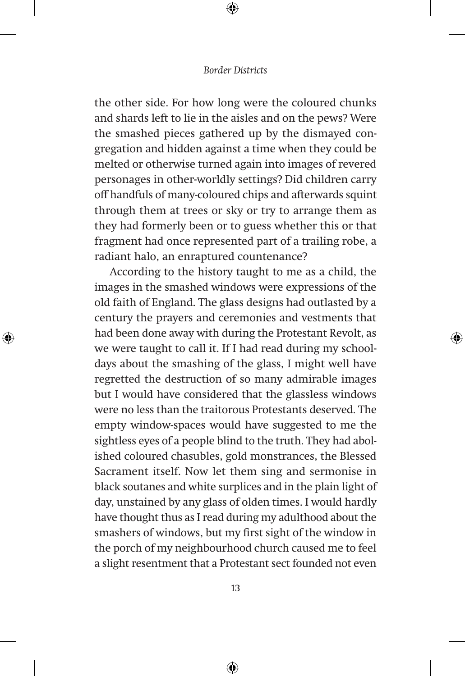⊕

the other side. For how long were the coloured chunks and shards left to lie in the aisles and on the pews? Were the smashed pieces gathered up by the dismayed congregation and hidden against a time when they could be melted or otherwise turned again into images of revered personages in other-worldly settings? Did children carry off handfuls of many-coloured chips and afterwards squint through them at trees or sky or try to arrange them as they had formerly been or to guess whether this or that fragment had once represented part of a trailing robe, a radiant halo, an enraptured countenance?

According to the history taught to me as a child, the images in the smashed windows were expressions of the old faith of England. The glass designs had outlasted by a century the prayers and ceremonies and vestments that had been done away with during the Protestant Revolt, as we were taught to call it. If I had read during my schooldays about the smashing of the glass, I might well have regretted the destruction of so many admirable images but I would have considered that the glassless windows were no less than the traitorous Protestants deserved. The empty window-spaces would have suggested to me the sightless eyes of a people blind to the truth. They had abolished coloured chasubles, gold monstrances, the Blessed Sacrament itself. Now let them sing and sermonise in black soutanes and white surplices and in the plain light of day, unstained by any glass of olden times. I would hardly have thought thus as I read during my adulthood about the smashers of windows, but my first sight of the window in the porch of my neighbourhood church caused me to feel a slight resentment that a Protestant sect founded not even

↔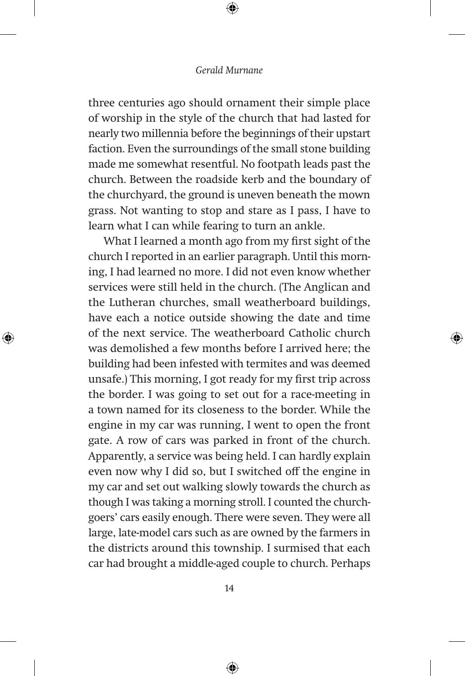⊕

three centuries ago should ornament their simple place of worship in the style of the church that had lasted for nearly two millennia before the beginnings of their upstart faction. Even the surroundings of the small stone building made me somewhat resentful. No footpath leads past the church. Between the roadside kerb and the boundary of the churchyard, the ground is uneven beneath the mown grass. Not wanting to stop and stare as I pass, I have to learn what I can while fearing to turn an ankle.

What I learned a month ago from my first sight of the church I reported in an earlier paragraph. Until this morning, I had learned no more. I did not even know whether services were still held in the church. (The Anglican and the Lutheran churches, small weatherboard buildings, have each a notice outside showing the date and time of the next service. The weatherboard Catholic church was demolished a few months before I arrived here; the building had been infested with termites and was deemed unsafe.) This morning, I got ready for my first trip across the border. I was going to set out for a race-meeting in a town named for its closeness to the border. While the engine in my car was running, I went to open the front gate. A row of cars was parked in front of the church. Apparently, a service was being held. I can hardly explain even now why I did so, but I switched off the engine in my car and set out walking slowly towards the church as though I was taking a morning stroll. I counted the churchgoers' cars easily enough. There were seven. They were all large, late-model cars such as are owned by the farmers in the districts around this township. I surmised that each car had brought a middle-aged couple to church. Perhaps

⊕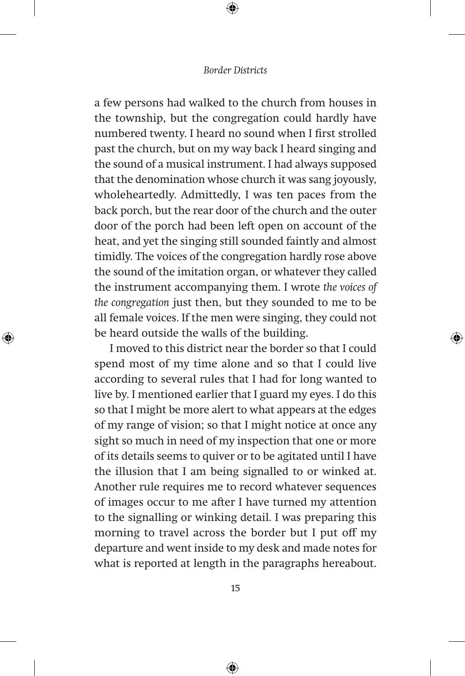⊕

a few persons had walked to the church from houses in the township, but the congregation could hardly have numbered twenty. I heard no sound when I first strolled past the church, but on my way back I heard singing and the sound of a musical instrument. I had always supposed that the denomination whose church it was sang joyously, wholeheartedly. Admittedly, I was ten paces from the back porch, but the rear door of the church and the outer door of the porch had been left open on account of the heat, and yet the singing still sounded faintly and almost timidly. The voices of the congregation hardly rose above the sound of the imitation organ, or whatever they called the instrument accompanying them. I wrote *the voices of the congregation* just then, but they sounded to me to be all female voices. If the men were singing, they could not be heard outside the walls of the building.

I moved to this district near the border so that I could spend most of my time alone and so that I could live according to several rules that I had for long wanted to live by. I mentioned earlier that I guard my eyes. I do this so that I might be more alert to what appears at the edges of my range of vision; so that I might notice at once any sight so much in need of my inspection that one or more of its details seems to quiver or to be agitated until I have the illusion that I am being signalled to or winked at. Another rule requires me to record whatever sequences of images occur to me after I have turned my attention to the signalling or winking detail. I was preparing this morning to travel across the border but I put off my departure and went inside to my desk and made notes for what is reported at length in the paragraphs hereabout.

⊕